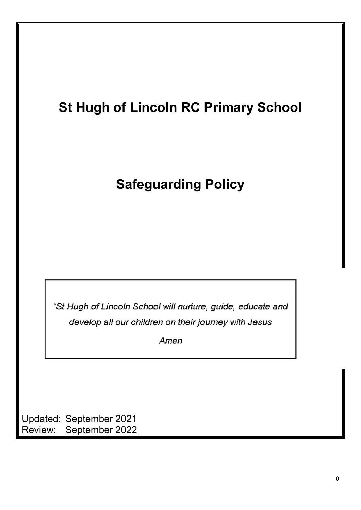# **St Hugh of Lincoln RC Primary School**

## **Safeguarding Policy**

"St Hugh of Lincoln School will nurture, guide, educate and develop all our children on their journey with Jesus

Amen

Updated: September 2021 Review: September 2022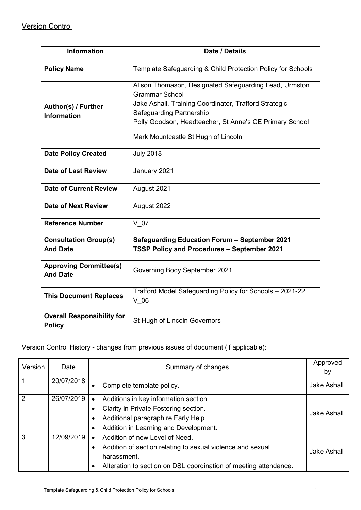| <b>Information</b>                                 | Date / Details                                                                                                                                                                                                                                                         |
|----------------------------------------------------|------------------------------------------------------------------------------------------------------------------------------------------------------------------------------------------------------------------------------------------------------------------------|
| <b>Policy Name</b>                                 | Template Safeguarding & Child Protection Policy for Schools                                                                                                                                                                                                            |
| Author(s) / Further<br><b>Information</b>          | Alison Thomason, Designated Safeguarding Lead, Urmston<br><b>Grammar School</b><br>Jake Ashall, Training Coordinator, Trafford Strategic<br>Safeguarding Partnership<br>Polly Goodson, Headteacher, St Anne's CE Primary School<br>Mark Mountcastle St Hugh of Lincoln |
| <b>Date Policy Created</b>                         | <b>July 2018</b>                                                                                                                                                                                                                                                       |
| Date of Last Review                                | January 2021                                                                                                                                                                                                                                                           |
| <b>Date of Current Review</b>                      | August 2021                                                                                                                                                                                                                                                            |
| <b>Date of Next Review</b>                         | August 2022                                                                                                                                                                                                                                                            |
| <b>Reference Number</b>                            | $V$ 07                                                                                                                                                                                                                                                                 |
| <b>Consultation Group(s)</b><br><b>And Date</b>    | <b>Safeguarding Education Forum - September 2021</b><br>TSSP Policy and Procedures - September 2021                                                                                                                                                                    |
| <b>Approving Committee(s)</b><br><b>And Date</b>   | Governing Body September 2021                                                                                                                                                                                                                                          |
| <b>This Document Replaces</b>                      | Trafford Model Safeguarding Policy for Schools - 2021-22<br>$V$ 06                                                                                                                                                                                                     |
| <b>Overall Responsibility for</b><br><b>Policy</b> | St Hugh of Lincoln Governors                                                                                                                                                                                                                                           |

Version Control History - changes from previous issues of document (if applicable):

| Version | Date       | Summary of changes                                               | Approved<br>by |
|---------|------------|------------------------------------------------------------------|----------------|
|         | 20/07/2018 | Complete template policy.                                        | Jake Ashall    |
| 2       | 26/07/2019 | Additions in key information section.                            |                |
|         |            | Clarity in Private Fostering section.                            | Jake Ashall    |
|         |            | Additional paragraph re Early Help.                              |                |
|         |            | Addition in Learning and Development.                            |                |
| 3       | 12/09/2019 | Addition of new Level of Need.<br>$\bullet$                      |                |
|         |            | Addition of section relating to sexual violence and sexual       | Jake Ashall    |
|         |            | harassment.                                                      |                |
|         |            | Alteration to section on DSL coordination of meeting attendance. |                |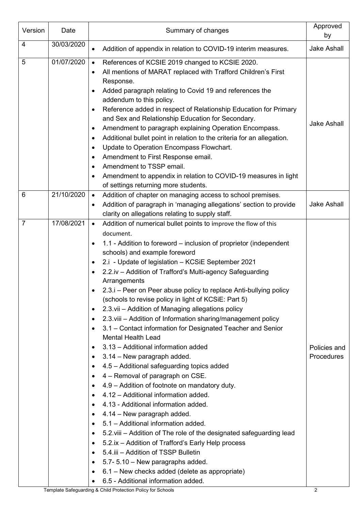| Version        | Date       | Summary of changes                                                                                                                                                                                                                                                                                                                                                                                                                                                                                                                                                                                                                                                                                                                                                                                                                                                                                                                                                                                                                                                                                                                                                                                                                                                                                                                                                                                                                                                                                                                          | Approved<br>by             |
|----------------|------------|---------------------------------------------------------------------------------------------------------------------------------------------------------------------------------------------------------------------------------------------------------------------------------------------------------------------------------------------------------------------------------------------------------------------------------------------------------------------------------------------------------------------------------------------------------------------------------------------------------------------------------------------------------------------------------------------------------------------------------------------------------------------------------------------------------------------------------------------------------------------------------------------------------------------------------------------------------------------------------------------------------------------------------------------------------------------------------------------------------------------------------------------------------------------------------------------------------------------------------------------------------------------------------------------------------------------------------------------------------------------------------------------------------------------------------------------------------------------------------------------------------------------------------------------|----------------------------|
| 4              | 30/03/2020 | Addition of appendix in relation to COVID-19 interim measures.<br>$\bullet$                                                                                                                                                                                                                                                                                                                                                                                                                                                                                                                                                                                                                                                                                                                                                                                                                                                                                                                                                                                                                                                                                                                                                                                                                                                                                                                                                                                                                                                                 | <b>Jake Ashall</b>         |
| 5              | 01/07/2020 | References of KCSIE 2019 changed to KCSIE 2020.<br>$\bullet$<br>All mentions of MARAT replaced with Trafford Children's First<br>Response.<br>Added paragraph relating to Covid 19 and references the<br>addendum to this policy.<br>Reference added in respect of Relationship Education for Primary<br>$\bullet$<br>and Sex and Relationship Education for Secondary.<br>Amendment to paragraph explaining Operation Encompass.<br>$\bullet$<br>Additional bullet point in relation to the criteria for an allegation.<br>$\bullet$<br>Update to Operation Encompass Flowchart.<br>$\bullet$<br>Amendment to First Response email.<br>$\bullet$<br>Amendment to TSSP email.<br>$\bullet$<br>Amendment to appendix in relation to COVID-19 measures in light<br>$\bullet$<br>of settings returning more students.                                                                                                                                                                                                                                                                                                                                                                                                                                                                                                                                                                                                                                                                                                                          | <b>Jake Ashall</b>         |
| 6              | 21/10/2020 | Addition of chapter on managing access to school premises.<br>$\bullet$<br>Addition of paragraph in 'managing allegations' section to provide<br>$\bullet$<br>clarity on allegations relating to supply staff.                                                                                                                                                                                                                                                                                                                                                                                                                                                                                                                                                                                                                                                                                                                                                                                                                                                                                                                                                                                                                                                                                                                                                                                                                                                                                                                              | <b>Jake Ashall</b>         |
| $\overline{7}$ | 17/08/2021 | Addition of numerical bullet points to improve the flow of this<br>$\bullet$<br>document.<br>1.1 - Addition to foreword – inclusion of proprietor (independent<br>schools) and example foreword<br>2.i - Update of legislation - KCSiE September 2021<br>$\bullet$<br>2.2.iv - Addition of Trafford's Multi-agency Safeguarding<br>Arrangements<br>2.3.i – Peer on Peer abuse policy to replace Anti-bullying policy<br>(schools to revise policy in light of KCSiE: Part 5)<br>2.3. vii - Addition of Managing allegations policy<br>٠<br>2.3. viii - Addition of Information sharing/management policy<br>٠<br>3.1 – Contact information for Designated Teacher and Senior<br>$\bullet$<br><b>Mental Health Lead</b><br>3.13 - Additional information added<br>$\bullet$<br>3.14 – New paragraph added.<br>٠<br>4.5 - Additional safeguarding topics added<br>$\bullet$<br>4 – Removal of paragraph on CSE.<br>$\bullet$<br>4.9 - Addition of footnote on mandatory duty.<br>4.12 - Additional information added.<br>$\bullet$<br>4.13 - Additional information added.<br>$\bullet$<br>4.14 - New paragraph added.<br>5.1 - Additional information added.<br>$\bullet$<br>5.2. viii – Addition of The role of the designated safeguarding lead<br>$\bullet$<br>5.2.ix - Addition of Trafford's Early Help process<br>$\bullet$<br>5.4.iii - Addition of TSSP Bulletin<br>$\bullet$<br>5.7-5.10 - New paragraphs added.<br>$\bullet$<br>6.1 – New checks added (delete as appropriate)<br>$\bullet$<br>6.5 - Additional information added. | Policies and<br>Procedures |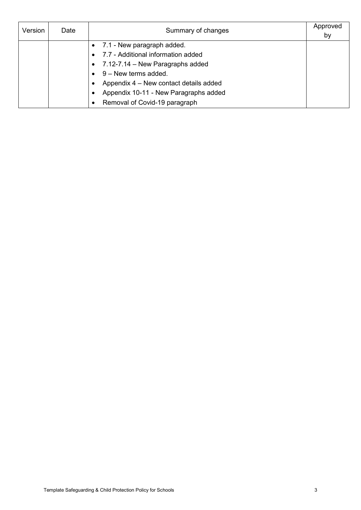| Version | Date | Summary of changes                     | Approved<br>by |
|---------|------|----------------------------------------|----------------|
|         |      | 7.1 - New paragraph added.             |                |
|         |      | 7.7 - Additional information added     |                |
|         |      | 7.12-7.14 - New Paragraphs added       |                |
|         |      | 9 - New terms added.                   |                |
|         |      | Appendix 4 – New contact details added |                |
|         |      | Appendix 10-11 - New Paragraphs added  |                |
|         |      | Removal of Covid-19 paragraph          |                |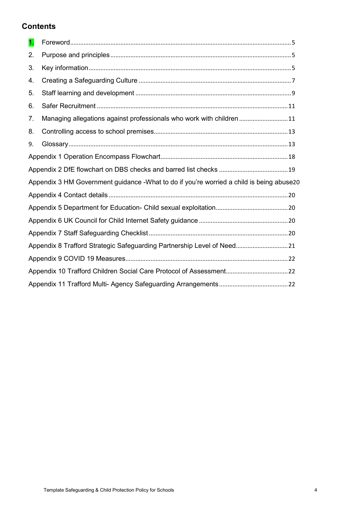### **Contents**

| $\mathbf{1}$ .                                                         |                                                                                          |  |  |
|------------------------------------------------------------------------|------------------------------------------------------------------------------------------|--|--|
| 2.                                                                     |                                                                                          |  |  |
| 3.                                                                     |                                                                                          |  |  |
| 4.                                                                     |                                                                                          |  |  |
| 5.                                                                     |                                                                                          |  |  |
| 6.                                                                     |                                                                                          |  |  |
| 7.                                                                     | Managing allegations against professionals who work with children  11                    |  |  |
| 8.                                                                     |                                                                                          |  |  |
| 9.                                                                     |                                                                                          |  |  |
|                                                                        |                                                                                          |  |  |
|                                                                        |                                                                                          |  |  |
|                                                                        | Appendix 3 HM Government guidance -What to do if you're worried a child is being abuse20 |  |  |
|                                                                        |                                                                                          |  |  |
|                                                                        |                                                                                          |  |  |
|                                                                        |                                                                                          |  |  |
|                                                                        |                                                                                          |  |  |
| Appendix 8 Trafford Strategic Safeguarding Partnership Level of Need21 |                                                                                          |  |  |
|                                                                        |                                                                                          |  |  |
|                                                                        |                                                                                          |  |  |
|                                                                        |                                                                                          |  |  |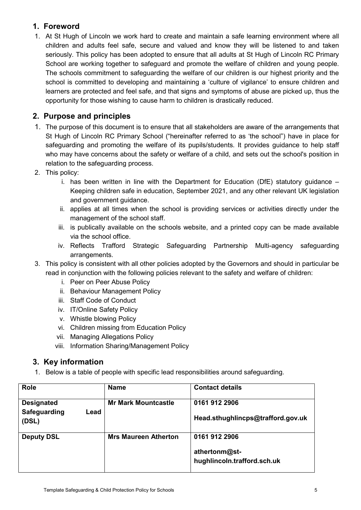### <span id="page-5-0"></span>**1. Foreword**

1. At St Hugh of Lincoln we work hard to create and maintain a safe learning environment where all children and adults feel safe, secure and valued and know they will be listened to and taken seriously. This policy has been adopted to ensure that all adults at St Hugh of Lincoln RC Primary School are working together to safeguard and promote the welfare of children and young people. The schools commitment to safeguarding the welfare of our children is our highest priority and the school is committed to developing and maintaining a 'culture of vigilance' to ensure children and learners are protected and feel safe, and that signs and symptoms of abuse are picked up, thus the opportunity for those wishing to cause harm to children is drastically reduced.

### <span id="page-5-1"></span>**2. Purpose and principles**

- 1. The purpose of this document is to ensure that all stakeholders are aware of the arrangements that St Hugh of Lincoln RC Primary School ("hereinafter referred to as 'the school") have in place for safeguarding and promoting the welfare of its pupils/students. It provides guidance to help staff who may have concerns about the safety or welfare of a child, and sets out the school's position in relation to the safeguarding process.
- 2. This policy:
	- i. has been written in line with the Department for Education (DfE) statutory guidance Keeping children safe in education, September 2021, and any other relevant UK legislation and government guidance.
	- ii. applies at all times when the school is providing services or activities directly under the management of the school staff.
	- iii. is publically available on the schools website, and a printed copy can be made available via the school office.
	- iv. Reflects Trafford Strategic Safeguarding Partnership Multi-agency safeguarding arrangements.
- 3. This policy is consistent with all other policies adopted by the Governors and should in particular be read in conjunction with the following policies relevant to the safety and welfare of children:
	- i. Peer on Peer Abuse Policy
	- ii. Behaviour Management Policy
	- iii. Staff Code of Conduct
	- iv. IT/Online Safety Policy
	- v. Whistle blowing Policy
	- vi. Children missing from Education Policy
	- vii. Managing Allegations Policy
	- viii. Information Sharing/Management Policy

### <span id="page-5-2"></span>**3. Key information**

1. Below is a table of people with specific lead responsibilities around safeguarding.

| <b>Role</b>                               | <b>Name</b>                 | <b>Contact details</b>            |
|-------------------------------------------|-----------------------------|-----------------------------------|
| <b>Designated</b><br>Safeguarding<br>Lead | <b>Mr Mark Mountcastle</b>  | 0161 912 2906                     |
| (DSL)                                     |                             | Head.sthughlincps@trafford.gov.uk |
| <b>Deputy DSL</b>                         | <b>Mrs Maureen Atherton</b> | 0161 912 2906                     |
|                                           |                             | athertonm@st-                     |
|                                           |                             | hughlincoln.trafford.sch.uk       |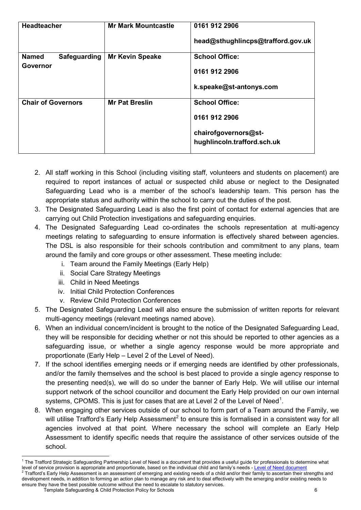| <b>Headteacher</b>           | <b>Mr Mark Mountcastle</b> | 0161 912 2906                                       |
|------------------------------|----------------------------|-----------------------------------------------------|
|                              |                            | head@sthughlincps@trafford.gov.uk                   |
| <b>Named</b><br>Safeguarding | <b>Mr Kevin Speake</b>     | <b>School Office:</b>                               |
| <b>Governor</b>              |                            | 0161 912 2906                                       |
|                              |                            | k.speake@st-antonys.com                             |
| <b>Chair of Governors</b>    | <b>Mr Pat Breslin</b>      | <b>School Office:</b>                               |
|                              |                            | 0161 912 2906                                       |
|                              |                            | chairofgovernors@st-<br>hughlincoln.trafford.sch.uk |

- 2. All staff working in this School (including visiting staff, volunteers and students on placement) are required to report instances of actual or suspected child abuse or neglect to the Designated Safeguarding Lead who is a member of the school's leadership team. This person has the appropriate status and authority within the school to carry out the duties of the post.
- 3. The Designated Safeguarding Lead is also the first point of contact for external agencies that are carrying out Child Protection investigations and safeguarding enquiries.
- 4. The Designated Safeguarding Lead co-ordinates the schools representation at multi-agency meetings relating to safeguarding to ensure information is effectively shared between agencies. The DSL is also responsible for their schools contribution and commitment to any plans, team around the family and core groups or other assessment. These meeting include:
	- i. Team around the Family Meetings (Early Help)
	- ii. Social Care Strategy Meetings
	- iii. Child in Need Meetings
	- iv. Initial Child Protection Conferences
	- v. Review Child Protection Conferences
- 5. The Designated Safeguarding Lead will also ensure the submission of written reports for relevant multi-agency meetings (relevant meetings named above).
- 6. When an individual concern/incident is brought to the notice of the Designated Safeguarding Lead, they will be responsible for deciding whether or not this should be reported to other agencies as a safeguarding issue, or whether a single agency response would be more appropriate and proportionate (Early Help – Level 2 of the Level of Need).
- 7. If the school identifies emerging needs or if emerging needs are identified by other professionals, and/or the family themselves and the school is best placed to provide a single agency response to the presenting need(s), we will do so under the banner of Early Help. We will utilise our internal support network of the school councillor and document the Early Help provided on our own internal systems, CPOMS. This is just for cases that are at Level 2 of the Level of Need<sup>[1](#page-6-0)</sup>.
- 8. When engaging other services outside of our school to form part of a Team around the Family, we will utilise Trafford's Early Help Assessment<sup>[2](#page-6-1)</sup> to ensure this is formalised in a consistent way for all agencies involved at that point. Where necessary the school will complete an Early Help Assessment to identify specific needs that require the assistance of other services outside of the school.

 $\overline{a}$ 

<span id="page-6-1"></span><span id="page-6-0"></span>Template Safeguarding & Child Protection Policy for Schools 6 <sup>1</sup> The Trafford Strategic Safeguarding Partnership Level of Need is a document that provides a useful guide for professionals to determine what level of service provision is appropriate and proportionate, based on the ind Trafford's Early Help Assessment is an assessment of emerging and existing needs of a child and/or their family to ascertain their strengths and development needs, in addition to forming an action plan to manage any risk and to deal effectively with the emerging and/or existing needs to ensure they have the best possible outcome without the need to escalate to statutory services.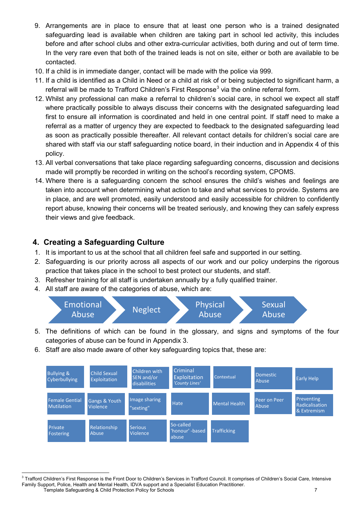- 9. Arrangements are in place to ensure that at least one person who is a trained designated safeguarding lead is available when children are taking part in school led activity, this includes before and after school clubs and other extra-curricular activities, both during and out of term time. In the very rare even that both of the trained leads is not on site, either or both are available to be contacted.
- 10. If a child is in immediate danger, contact will be made with the police via 999.
- 11. If a child is identified as a Child in Need or a child at risk of or being subjected to significant harm, a referral will be made to Trafford Children's First Response<sup>[3](#page-7-1)</sup> via the online referral form.
- 12. Whilst any professional can make a referral to children's social care, in school we expect all staff where practically possible to always discuss their concerns with the designated safeguarding lead first to ensure all information is coordinated and held in one central point. If staff need to make a referral as a matter of urgency they are expected to feedback to the designated safeguarding lead as soon as practically possible thereafter. All relevant contact details for children's social care are shared with staff via our staff safeguarding notice board, in their induction and in Appendix 4 of this policy.
- 13. All verbal conversations that take place regarding safeguarding concerns, discussion and decisions made will promptly be recorded in writing on the school's recording system, CPOMS.
- 14. Where there is a safeguarding concern the school ensures the child's wishes and feelings are taken into account when determining what action to take and what services to provide. Systems are in place, and are well promoted, easily understood and easily accessible for children to confidently report abuse, knowing their concerns will be treated seriously, and knowing they can safely express their views and give feedback.

### <span id="page-7-0"></span>**4. Creating a Safeguarding Culture**

- 1. It is important to us at the school that all children feel safe and supported in our setting.
- 2. Safeguarding is our priority across all aspects of our work and our policy underpins the rigorous practice that takes place in the school to best protect our students, and staff.
- 3. Refresher training for all staff is undertaken annually by a fully qualified trainer.
- 4. All staff are aware of the categories of abuse, which are:



- 5. The definitions of which can be found in the glossary, and signs and symptoms of the four categories of abuse can be found in Appendix 3.
- 6. Staff are also made aware of other key safeguarding topics that, these are:



<span id="page-7-1"></span>Template Safeguarding & Child Protection Policy for Schools 7 **.**  $3$  Trafford Children's First Response is the Front Door to Children's Services in Trafford Council. It comprises of Children's Social Care, Intensive Family Support, Police, Health and Mental Health, IDVA support and a Specialist Education Practitioner.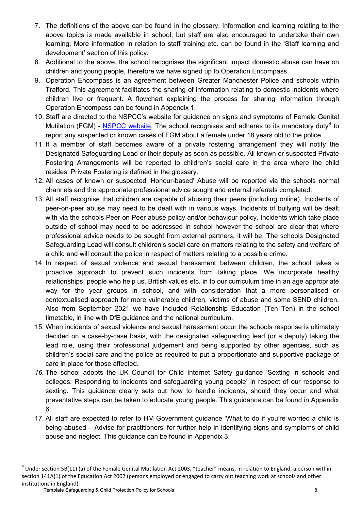- 7. The definitions of the above can be found in the glossary. Information and learning relating to the above topics is made available in school, but staff are also encouraged to undertake their own learning. More information in relation to staff training etc. can be found in the 'Staff learning and development' section of this policy.
- 8. Additional to the above, the school recognises the significant impact domestic abuse can have on children and young people, therefore we have signed up to Operation Encompass.
- 9. Operation Encompass is an agreement between Greater Manchester Police and schools within Trafford. This agreement facilitates the sharing of information relating to domestic incidents where children live or frequent. A flowchart explaining the process for sharing information through Operation Encompass can be found in Appendix 1.
- 10. Staff are directed to the NSPCC's website for guidance on signs and symptoms of Female Genital Mutilation (FGM) - [NSPCC website.](https://www.nspcc.org.uk/preventing-abuse/child-abuse-and-neglect/female-genital-mutilation-fgm/signs-symptoms-and-effects/) The school recognises and adheres to its mandatory duty<sup>[4](#page-8-0)</sup> to report any suspected or known cases of FGM about a female under 18 years old to the police.
- 11. If a member of staff becomes aware of a private fostering arrangement they will notify the Designated Safeguarding Lead or their deputy as soon as possible. All known or suspected Private Fostering Arrangements will be reported to children's social care in the area where the child resides. Private Fostering is defined in the glossary.
- 12. All cases of known or suspected 'Honour-based' Abuse will be reported via the schools normal channels and the appropriate professional advice sought and external referrals completed.
- 13. All staff recognise that children are capable of abusing their peers (including online). Incidents of peer-on-peer abuse may need to be dealt with in various ways. Incidents of bullying will be dealt with via the schools Peer on Peer abuse policy and/or behaviour policy. Incidents which take place outside of school may need to be addressed in school however the school are clear that where professional advice needs to be sought from external partners, it will be. The schools Designated Safeguarding Lead will consult children's social care on matters relating to the safety and welfare of a child and will consult the police in respect of matters relating to a possible crime.
- 14. In respect of sexual violence and sexual harassment between children, the school takes a proactive approach to prevent such incidents from taking place. We incorporate healthy relationships, people who help us, British values etc. in to our curriculum time in an age appropriate way for the year groups in school, and with consideration that a more personalised or contextualised approach for more vulnerable children, victims of abuse and some SEND children. Also from September 2021 we have included Relationship Education (Ten Ten) in the school timetable, in line with DfE guidance and the national curriculum.
- 15. When incidents of sexual violence and sexual harassment occur the schools response is ultimately decided on a case-by-case basis, with the designated safeguarding lead (or a deputy) taking the lead role, using their professional judgement and being supported by other agencies, such as children's social care and the police as required to put a proportionate and supportive package of care in place for those affected.
- *16.* The school adopts the UK Council for Child Internet Safety guidance 'Sexting in schools and colleges: Responding to incidents and safeguarding young people' in respect of our response to sexting. This guidance clearly sets out how to handle incidents, should they occur and what preventative steps can be taken to educate young people. This guidance can be found in Appendix 6.
- 17. All staff are expected to refer to HM Government guidance 'What to do if you're worried a child is being abused – Advise for practitioners' for further help in identifying signs and symptoms of child abuse and neglect. This guidance can be found in Appendix 3.

<span id="page-8-0"></span> $4$  Under section 5B(11) (a) of the Female Genital Mutilation Act 2003, "teacher" means, in relation to England, a person within section 141A(1) of the Education Act 2002 (persons employed or engaged to carry out teaching work at schools and other institutions in England).

Template Safeguarding & Child Protection Policy for Schools 8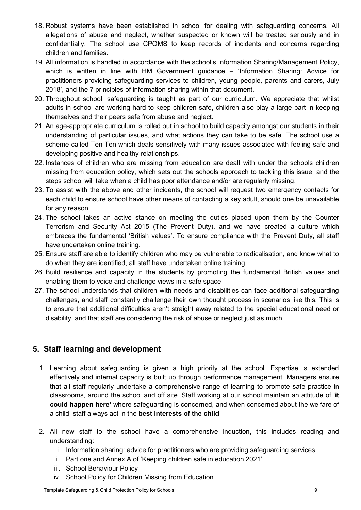- 18. Robust systems have been established in school for dealing with safeguarding concerns. All allegations of abuse and neglect, whether suspected or known will be treated seriously and in confidentially. The school use CPOMS to keep records of incidents and concerns regarding children and families.
- 19. All information is handled in accordance with the school's Information Sharing/Management Policy, which is written in line with HM Government guidance – 'Information Sharing: Advice for practitioners providing safeguarding services to children, young people, parents and carers, July 2018', and the 7 principles of information sharing within that document.
- 20. Throughout school, safeguarding is taught as part of our curriculum. We appreciate that whilst adults in school are working hard to keep children safe, children also play a large part in keeping themselves and their peers safe from abuse and neglect.
- 21. An age-appropriate curriculum is rolled out in school to build capacity amongst our students in their understanding of particular issues, and what actions they can take to be safe. The school use a scheme called Ten Ten which deals sensitively with many issues associated with feeling safe and developing positive and healthy relationships.
- 22. Instances of children who are missing from education are dealt with under the schools children missing from education policy, which sets out the schools approach to tackling this issue, and the steps school will take when a child has poor attendance and/or are regularly missing.
- 23. To assist with the above and other incidents, the school will request two emergency contacts for each child to ensure school have other means of contacting a key adult, should one be unavailable for any reason.
- 24. The school takes an active stance on meeting the duties placed upon them by the Counter Terrorism and Security Act 2015 (The Prevent Duty), and we have created a culture which embraces the fundamental 'British values'. To ensure compliance with the Prevent Duty, all staff have undertaken online training.
- 25. Ensure staff are able to identify children who may be vulnerable to radicalisation, and know what to do when they are identified, all staff have undertaken online training.
- 26. Build resilience and capacity in the students by promoting the fundamental British values and enabling them to voice and challenge views in a safe space
- 27. The school understands that children with needs and disabilities can face additional safeguarding challenges, and staff constantly challenge their own thought process in scenarios like this. This is to ensure that additional difficulties aren't straight away related to the special educational need or disability, and that staff are considering the risk of abuse or neglect just as much.

### <span id="page-9-0"></span>**5. Staff learning and development**

- 1. Learning about safeguarding is given a high priority at the school. Expertise is extended effectively and internal capacity is built up through performance management. Managers ensure that all staff regularly undertake a comprehensive range of learning to promote safe practice in classrooms, around the school and off site. Staff working at our school maintain an attitude of '**it could happen here'** where safeguarding is concerned, and when concerned about the welfare of a child, staff always act in the **best interests of the child**.
- 2. All new staff to the school have a comprehensive induction, this includes reading and understanding:
	- i. Information sharing: advice for practitioners who are providing safeguarding services
	- ii. Part one and Annex A of 'Keeping children safe in education 2021'
	- iii. School Behaviour Policy
	- iv. School Policy for Children Missing from Education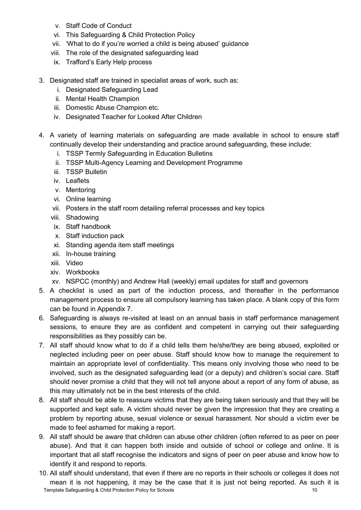- v. Staff Code of Conduct
- vi. This Safeguarding & Child Protection Policy
- vii. 'What to do if you're worried a child is being abused' guidance
- viii. The role of the designated safeguarding lead
- ix. Trafford's Early Help process
- 3. Designated staff are trained in specialist areas of work, such as:
	- i. Designated Safeguarding Lead
	- ii. Mental Health Champion
	- iii. Domestic Abuse Champion etc.
	- iv. Designated Teacher for Looked After Children
- 4. A variety of learning materials on safeguarding are made available in school to ensure staff continually develop their understanding and practice around safeguarding, these include:
	- i. TSSP Termly Safeguarding in Education Bulletins
	- ii. TSSP Multi-Agency Learning and Development Programme
	- iii. TSSP Bulletin
	- iv. Leaflets
	- v. Mentoring
	- vi. Online learning
	- vii. Posters in the staff room detailing referral processes and key topics
	- viii. Shadowing
	- ix. Staff handbook
	- x. Staff induction pack
	- xi. Standing agenda item staff meetings
	- xii. In-house training
	- xiii. Video
	- xiv. Workbooks
	- xv. NSPCC (monthly) and Andrew Hall (weekly) email updates for staff and governors
- 5. A checklist is used as part of the induction process, and thereafter in the performance management process to ensure all compulsory learning has taken place. A blank copy of this form can be found in Appendix 7.
- 6. Safeguarding is always re-visited at least on an annual basis in staff performance management sessions, to ensure they are as confident and competent in carrying out their safeguarding responsibilities as they possibly can be.
- 7. All staff should know what to do if a child tells them he/she/they are being abused, exploited or neglected including peer on peer abuse. Staff should know how to manage the requirement to maintain an appropriate level of confidentiality. This means only involving those who need to be involved, such as the designated safeguarding lead (or a deputy) and children's social care. Staff should never promise a child that they will not tell anyone about a report of any form of abuse, as this may ultimately not be in the best interests of the child.
- 8. All staff should be able to reassure victims that they are being taken seriously and that they will be supported and kept safe. A victim should never be given the impression that they are creating a problem by reporting abuse, sexual violence or sexual harassment. Nor should a victim ever be made to feel ashamed for making a report.
- 9. All staff should be aware that children can abuse other children (often referred to as peer on peer abuse). And that it can happen both inside and outside of school or college and online. It is important that all staff recognise the indicators and signs of peer on peer abuse and know how to identify it and respond to reports.
- Template Safeguarding & Child Protection Policy for Schools 10 10. All staff should understand, that even if there are no reports in their schools or colleges it does not mean it is not happening, it may be the case that it is just not being reported. As such it is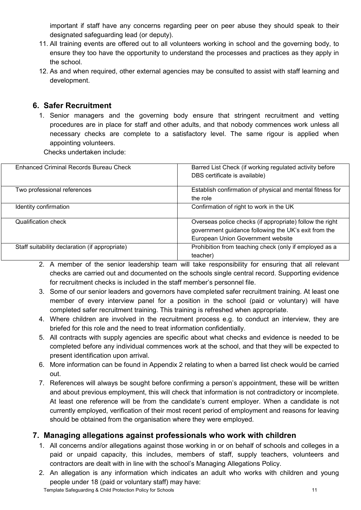important if staff have any concerns regarding peer on peer abuse they should speak to their designated safeguarding lead (or deputy).

- 11. All training events are offered out to all volunteers working in school and the governing body, to ensure they too have the opportunity to understand the processes and practices as they apply in the school.
- 12. As and when required, other external agencies may be consulted to assist with staff learning and development.

### <span id="page-11-0"></span>**6. Safer Recruitment**

1. Senior managers and the governing body ensure that stringent recruitment and vetting procedures are in place for staff and other adults, and that nobody commences work unless all necessary checks are complete to a satisfactory level. The same rigour is applied when appointing volunteers.

Checks undertaken include:

| Enhanced Criminal Records Bureau Check         | Barred List Check (if working regulated activity before   |
|------------------------------------------------|-----------------------------------------------------------|
|                                                | DBS certificate is available)                             |
|                                                |                                                           |
| Two professional references                    | Establish confirmation of physical and mental fitness for |
|                                                | the role                                                  |
| Identity confirmation                          | Confirmation of right to work in the UK                   |
|                                                |                                                           |
| Qualification check                            | Overseas police checks (if appropriate) follow the right  |
|                                                | government guidance following the UK's exit from the      |
|                                                | European Union Government website                         |
| Staff suitability declaration (if appropriate) | Prohibition from teaching check (only if employed as a    |
|                                                | teacher)                                                  |

- 2. A member of the senior leadership team will take responsibility for ensuring that all relevant checks are carried out and documented on the schools single central record. Supporting evidence for recruitment checks is included in the staff member's personnel file.
- 3. Some of our senior leaders and governors have completed safer recruitment training. At least one member of every interview panel for a position in the school (paid or voluntary) will have completed safer recruitment training. This training is refreshed when appropriate.
- 4. Where children are involved in the recruitment process e.g. to conduct an interview, they are briefed for this role and the need to treat information confidentially.
- 5. All contracts with supply agencies are specific about what checks and evidence is needed to be completed before any individual commences work at the school, and that they will be expected to present identification upon arrival.
- 6. More information can be found in Appendix 2 relating to when a barred list check would be carried out.
- 7. References will always be sought before confirming a person's appointment, these will be written and about previous employment, this will check that information is not contradictory or incomplete. At least one reference will be from the candidate's current employer. When a candidate is not currently employed, verification of their most recent period of employment and reasons for leaving should be obtained from the organisation where they were employed.

### <span id="page-11-1"></span>**7. Managing allegations against professionals who work with children**

- 1. All concerns and/or allegations against those working in or on behalf of schools and colleges in a paid or unpaid capacity, this includes, members of staff, supply teachers, volunteers and contractors are dealt with in line with the school's Managing Allegations Policy.
- 2. An allegation is any information which indicates an adult who works with children and young people under 18 (paid or voluntary staff) may have: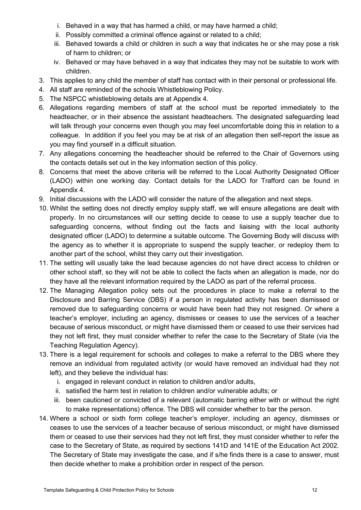- i. Behaved in a way that has harmed a child, or may have harmed a child;
- ii. Possibly committed a criminal offence against or related to a child;
- iii. Behaved towards a child or children in such a way that indicates he or she may pose a risk of harm to children; or
- iv. Behaved or may have behaved in a way that indicates they may not be suitable to work with children.
- 3. This applies to any child the member of staff has contact with in their personal or professional life.
- 4. All staff are reminded of the schools Whistleblowing Policy.
- 5. The NSPCC whistleblowing details are at Appendix 4.
- 6. Allegations regarding members of staff at the school must be reported immediately to the headteacher, or in their absence the assistant headteachers. The designated safeguarding lead will talk through your concerns even though you may feel uncomfortable doing this in relation to a colleague. In addition if you feel you may be at risk of an allegation then self-report the issue as you may find yourself in a difficult situation.
- 7. Any allegations concerning the headteacher should be referred to the Chair of Governors using the contacts details set out in the key information section of this policy.
- 8. Concerns that meet the above criteria will be referred to the Local Authority Designated Officer (LADO) within one working day. Contact details for the LADO for Trafford can be found in Appendix 4.
- 9. Initial discussions with the LADO will consider the nature of the allegation and next steps.
- 10. Whilst the setting does not directly employ supply staff, we will ensure allegations are dealt with properly. In no circumstances will our setting decide to cease to use a supply teacher due to safeguarding concerns, without finding out the facts and liaising with the local authority designated officer (LADO) to determine a suitable outcome. The Governing Body will discuss with the agency as to whether it is appropriate to suspend the supply teacher, or redeploy them to another part of the school, whilst they carry out their investigation.
- 11. The setting will usually take the lead because agencies do not have direct access to children or other school staff, so they will not be able to collect the facts when an allegation is made, nor do they have all the relevant information required by the LADO as part of the referral process.
- 12. The Managing Allegation policy sets out the procedures in place to make a referral to the Disclosure and Barring Service (DBS) if a person in regulated activity has been dismissed or removed due to safeguarding concerns or would have been had they not resigned. Or where a teacher's employer, including an agency, dismisses or ceases to use the services of a teacher because of serious misconduct, or might have dismissed them or ceased to use their services had they not left first, they must consider whether to refer the case to the Secretary of State (via the Teaching Regulation Agency).
- 13. There is a legal requirement for schools and colleges to make a referral to the DBS where they remove an individual from regulated activity (or would have removed an individual had they not left), and they believe the individual has:
	- i. engaged in relevant conduct in relation to children and/or adults,
	- ii. satisfied the harm test in relation to children and/or vulnerable adults; or
	- iii. been cautioned or convicted of a relevant (automatic barring either with or without the right to make representations) offence. The DBS will consider whether to bar the person.
- 14. Where a school or sixth form college teacher's employer, including an agency, dismisses or ceases to use the services of a teacher because of serious misconduct, or might have dismissed them or ceased to use their services had they not left first, they must consider whether to refer the case to the Secretary of State, as required by sections 141D and 141E of the Education Act 2002. The Secretary of State may investigate the case, and if s/he finds there is a case to answer, must then decide whether to make a prohibition order in respect of the person.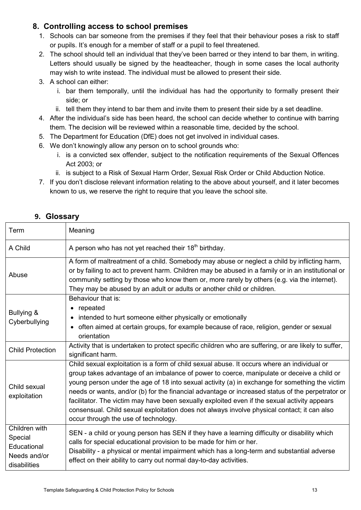### <span id="page-13-0"></span>**8. Controlling access to school premises**

- 1. Schools can bar someone from the premises if they feel that their behaviour poses a risk to staff or pupils. It's enough for a member of staff or a pupil to feel threatened.
- 2. The school should tell an individual that they've been barred or they intend to bar them, in writing. Letters should usually be signed by the headteacher, though in some cases the local authority may wish to write instead. The individual must be allowed to present their side.
- 3. A school can either:
	- i. bar them temporally, until the individual has had the opportunity to formally present their side; or
	- ii. tell them they intend to bar them and invite them to present their side by a set deadline.
- 4. After the individual's side has been heard, the school can decide whether to continue with barring them. The decision will be reviewed within a reasonable time, decided by the school.
- 5. The Department for Education (DfE) does not get involved in individual cases.
- 6. We don't knowingly allow any person on to school grounds who:
	- i. is a convicted sex offender, subject to the notification requirements of the Sexual Offences Act 2003; or
	- ii. is subject to a Risk of Sexual Harm Order, Sexual Risk Order or Child Abduction Notice.
- 7. If you don't disclose relevant information relating to the above about yourself, and it later becomes known to us, we reserve the right to require that you leave the school site.

<span id="page-13-1"></span>

| <b>Glossary</b><br>9. |  |
|-----------------------|--|
|-----------------------|--|

| Term                                                                    | Meaning                                                                                                                                                                                                                                                                                                                                                                                                                                                                                                                                                                                                                                |
|-------------------------------------------------------------------------|----------------------------------------------------------------------------------------------------------------------------------------------------------------------------------------------------------------------------------------------------------------------------------------------------------------------------------------------------------------------------------------------------------------------------------------------------------------------------------------------------------------------------------------------------------------------------------------------------------------------------------------|
| A Child                                                                 | A person who has not yet reached their 18 <sup>th</sup> birthday.                                                                                                                                                                                                                                                                                                                                                                                                                                                                                                                                                                      |
| Abuse                                                                   | A form of maltreatment of a child. Somebody may abuse or neglect a child by inflicting harm,<br>or by failing to act to prevent harm. Children may be abused in a family or in an institutional or<br>community setting by those who know them or, more rarely by others (e.g. via the internet).<br>They may be abused by an adult or adults or another child or children.                                                                                                                                                                                                                                                            |
| Bullying &<br>Cyberbullying                                             | Behaviour that is:<br>• repeated<br>intended to hurt someone either physically or emotionally<br>often aimed at certain groups, for example because of race, religion, gender or sexual<br>orientation                                                                                                                                                                                                                                                                                                                                                                                                                                 |
| <b>Child Protection</b>                                                 | Activity that is undertaken to protect specific children who are suffering, or are likely to suffer,<br>significant harm.                                                                                                                                                                                                                                                                                                                                                                                                                                                                                                              |
| Child sexual<br>exploitation                                            | Child sexual exploitation is a form of child sexual abuse. It occurs where an individual or<br>group takes advantage of an imbalance of power to coerce, manipulate or deceive a child or<br>young person under the age of 18 into sexual activity (a) in exchange for something the victim<br>needs or wants, and/or (b) for the financial advantage or increased status of the perpetrator or<br>facilitator. The victim may have been sexually exploited even if the sexual activity appears<br>consensual. Child sexual exploitation does not always involve physical contact; it can also<br>occur through the use of technology. |
| Children with<br>Special<br>Educational<br>Needs and/or<br>disabilities | SEN - a child or young person has SEN if they have a learning difficulty or disability which<br>calls for special educational provision to be made for him or her.<br>Disability - a physical or mental impairment which has a long-term and substantial adverse<br>effect on their ability to carry out normal day-to-day activities.                                                                                                                                                                                                                                                                                                 |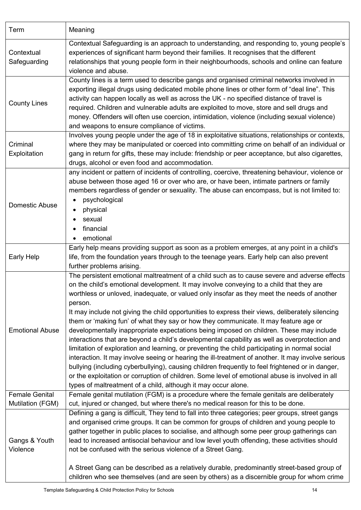| Term                                      | Meaning                                                                                                                                                                                                                                                                                                                                                                                                                                                                                                                                                                                                                                                                                                                                                                                                                                                                                                                                                                                                                                                                                                                                                                   |
|-------------------------------------------|---------------------------------------------------------------------------------------------------------------------------------------------------------------------------------------------------------------------------------------------------------------------------------------------------------------------------------------------------------------------------------------------------------------------------------------------------------------------------------------------------------------------------------------------------------------------------------------------------------------------------------------------------------------------------------------------------------------------------------------------------------------------------------------------------------------------------------------------------------------------------------------------------------------------------------------------------------------------------------------------------------------------------------------------------------------------------------------------------------------------------------------------------------------------------|
| Contextual<br>Safeguarding                | Contextual Safeguarding is an approach to understanding, and responding to, young people's<br>experiences of significant harm beyond their families. It recognises that the different<br>relationships that young people form in their neighbourhoods, schools and online can feature<br>violence and abuse.                                                                                                                                                                                                                                                                                                                                                                                                                                                                                                                                                                                                                                                                                                                                                                                                                                                              |
| <b>County Lines</b>                       | County lines is a term used to describe gangs and organised criminal networks involved in<br>exporting illegal drugs using dedicated mobile phone lines or other form of "deal line". This<br>activity can happen locally as well as across the UK - no specified distance of travel is<br>required. Children and vulnerable adults are exploited to move, store and sell drugs and<br>money. Offenders will often use coercion, intimidation, violence (including sexual violence)<br>and weapons to ensure compliance of victims.                                                                                                                                                                                                                                                                                                                                                                                                                                                                                                                                                                                                                                       |
| Criminal<br>Exploitation                  | Involves young people under the age of 18 in exploitative situations, relationships or contexts,<br>where they may be manipulated or coerced into committing crime on behalf of an individual or<br>gang in return for gifts, these may include: friendship or peer acceptance, but also cigarettes,<br>drugs, alcohol or even food and accommodation.                                                                                                                                                                                                                                                                                                                                                                                                                                                                                                                                                                                                                                                                                                                                                                                                                    |
| Domestic Abuse                            | any incident or pattern of incidents of controlling, coercive, threatening behaviour, violence or<br>abuse between those aged 16 or over who are, or have been, intimate partners or family<br>members regardless of gender or sexuality. The abuse can encompass, but is not limited to:<br>psychological<br>physical<br>sexual<br>$\bullet$<br>financial<br>emotional                                                                                                                                                                                                                                                                                                                                                                                                                                                                                                                                                                                                                                                                                                                                                                                                   |
| Early Help                                | Early help means providing support as soon as a problem emerges, at any point in a child's<br>life, from the foundation years through to the teenage years. Early help can also prevent<br>further problems arising.                                                                                                                                                                                                                                                                                                                                                                                                                                                                                                                                                                                                                                                                                                                                                                                                                                                                                                                                                      |
| <b>Emotional Abuse</b>                    | The persistent emotional maltreatment of a child such as to cause severe and adverse effects<br>on the child's emotional development. It may involve conveying to a child that they are<br>worthless or unloved, inadequate, or valued only insofar as they meet the needs of another<br>person.<br>It may include not giving the child opportunities to express their views, deliberately silencing<br>them or 'making fun' of what they say or how they communicate. It may feature age or<br>developmentally inappropriate expectations being imposed on children. These may include<br>interactions that are beyond a child's developmental capability as well as overprotection and<br>limitation of exploration and learning, or preventing the child participating in normal social<br>interaction. It may involve seeing or hearing the ill-treatment of another. It may involve serious<br>bullying (including cyberbullying), causing children frequently to feel frightened or in danger,<br>or the exploitation or corruption of children. Some level of emotional abuse is involved in all<br>types of maltreatment of a child, although it may occur alone. |
| <b>Female Genital</b><br>Mutilation (FGM) | Female genital mutilation (FGM) is a procedure where the female genitals are deliberately<br>cut, injured or changed, but where there's no medical reason for this to be done.                                                                                                                                                                                                                                                                                                                                                                                                                                                                                                                                                                                                                                                                                                                                                                                                                                                                                                                                                                                            |
| Gangs & Youth<br>Violence                 | Defining a gang is difficult, They tend to fall into three categories; peer groups, street gangs<br>and organised crime groups. It can be common for groups of children and young people to<br>gather together in public places to socialise, and although some peer group gatherings can<br>lead to increased antisocial behaviour and low level youth offending, these activities should<br>not be confused with the serious violence of a Street Gang.<br>A Street Gang can be described as a relatively durable, predominantly street-based group of<br>children who see themselves (and are seen by others) as a discernible group for whom crime                                                                                                                                                                                                                                                                                                                                                                                                                                                                                                                    |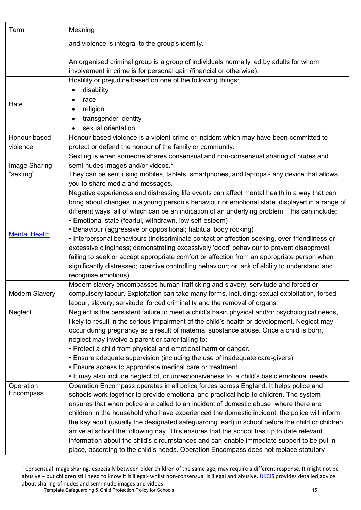| Term                       | Meaning                                                                                                                                                                                                                                                                                                                                                                                                                                                                                                                                                                                                                                                                                                                                                                                                                                          |
|----------------------------|--------------------------------------------------------------------------------------------------------------------------------------------------------------------------------------------------------------------------------------------------------------------------------------------------------------------------------------------------------------------------------------------------------------------------------------------------------------------------------------------------------------------------------------------------------------------------------------------------------------------------------------------------------------------------------------------------------------------------------------------------------------------------------------------------------------------------------------------------|
|                            | and violence is integral to the group's identity.                                                                                                                                                                                                                                                                                                                                                                                                                                                                                                                                                                                                                                                                                                                                                                                                |
|                            | An organised criminal group is a group of individuals normally led by adults for whom<br>involvement in crime is for personal gain (financial or otherwise).                                                                                                                                                                                                                                                                                                                                                                                                                                                                                                                                                                                                                                                                                     |
| Hate                       | Hostility or prejudice based on one of the following things:<br>disability<br>$\bullet$<br>race<br>$\bullet$<br>religion<br>٠<br>transgender identity<br>sexual orientation.                                                                                                                                                                                                                                                                                                                                                                                                                                                                                                                                                                                                                                                                     |
| Honour-based               | Honour based violence is a violent crime or incident which may have been committed to                                                                                                                                                                                                                                                                                                                                                                                                                                                                                                                                                                                                                                                                                                                                                            |
| violence                   | protect or defend the honour of the family or community.                                                                                                                                                                                                                                                                                                                                                                                                                                                                                                                                                                                                                                                                                                                                                                                         |
| Image Sharing<br>"sexting" | Sexting is when someone shares consensual and non-consensual sharing of nudes and<br>semi-nudes images and/or videos. <sup>5</sup><br>They can be sent using mobiles, tablets, smartphones, and laptops - any device that allows<br>you to share media and messages.                                                                                                                                                                                                                                                                                                                                                                                                                                                                                                                                                                             |
| <b>Mental Health</b>       | Negative experiences and distressing life events can affect mental health in a way that can<br>bring about changes in a young person's behaviour or emotional state, displayed in a range of<br>different ways, all of which can be an indication of an underlying problem. This can include:<br>• Emotional state (fearful, withdrawn, low self-esteem)<br>• Behaviour (aggressive or oppositional; habitual body rocking)<br>• Interpersonal behaviours (indiscriminate contact or affection seeking, over-friendliness or<br>excessive clinginess; demonstrating excessively 'good' behaviour to prevent disapproval;<br>failing to seek or accept appropriate comfort or affection from an appropriate person when<br>significantly distressed; coercive controlling behaviour; or lack of ability to understand and<br>recognise emotions). |
| Modern Slavery             | Modern slavery encompasses human trafficking and slavery, servitude and forced or<br>compulsory labour. Exploitation can take many forms, including: sexual exploitation, forced<br>labour, slavery, servitude, forced criminality and the removal of organs.                                                                                                                                                                                                                                                                                                                                                                                                                                                                                                                                                                                    |
| Neglect                    | Neglect is the persistent failure to meet a child's basic physical and/or psychological needs,<br>likely to result in the serious impairment of the child's health or development. Neglect may<br>occur during pregnancy as a result of maternal substance abuse. Once a child is born,<br>neglect may involve a parent or carer failing to:<br>• Protect a child from physical and emotional harm or danger.<br>• Ensure adequate supervision (including the use of inadequate care-givers).<br>• Ensure access to appropriate medical care or treatment.<br>. It may also include neglect of, or unresponsiveness to, a child's basic emotional needs.                                                                                                                                                                                         |
| Operation<br>Encompass     | Operation Encompass operates in all police forces across England. It helps police and<br>schools work together to provide emotional and practical help to children. The system<br>ensures that when police are called to an incident of domestic abuse, where there are<br>children in the household who have experienced the domestic incident, the police will inform<br>the key adult (usually the designated safeguarding lead) in school before the child or children<br>arrive at school the following day. This ensures that the school has up to date relevant<br>information about the child's circumstances and can enable immediate support to be put in<br>place, according to the child's needs. Operation Encompass does not replace statutory                                                                                     |

<span id="page-15-0"></span><sup>—————————————————————&</sup>lt;br><sup>5</sup> Consensual image sharing, especially between older children of the same age, may require a different response. It might not be abusive – but children still need to know it is illegal- whilst non-consensual is illegal and abusive. [UKCIS](https://www.gov.uk/government/publications/sharing-nudes-and-semi-nudes-advice-for-education-settings-working-with-children-and-young-people) provides detailed advice about sharing of nudes and semi-nude images and videos

Template Safeguarding & Child Protection Policy for Schools 15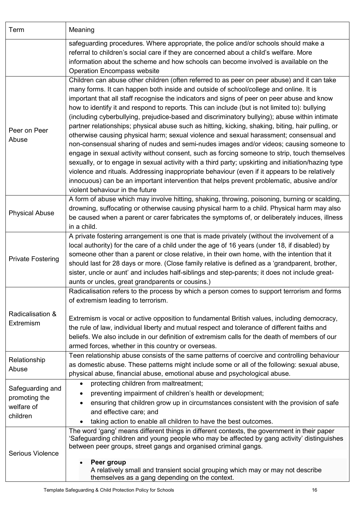| Term                                                        | Meaning                                                                                                                                                                                                                                                                                                                                                                                                                                                                                                                                                                                                                                                                                                                                                                                                                                                                                                                                                                                                                                                                                                                                                                                                                  |  |  |
|-------------------------------------------------------------|--------------------------------------------------------------------------------------------------------------------------------------------------------------------------------------------------------------------------------------------------------------------------------------------------------------------------------------------------------------------------------------------------------------------------------------------------------------------------------------------------------------------------------------------------------------------------------------------------------------------------------------------------------------------------------------------------------------------------------------------------------------------------------------------------------------------------------------------------------------------------------------------------------------------------------------------------------------------------------------------------------------------------------------------------------------------------------------------------------------------------------------------------------------------------------------------------------------------------|--|--|
|                                                             | safeguarding procedures. Where appropriate, the police and/or schools should make a<br>referral to children's social care if they are concerned about a child's welfare. More<br>information about the scheme and how schools can become involved is available on the<br><b>Operation Encompass website</b>                                                                                                                                                                                                                                                                                                                                                                                                                                                                                                                                                                                                                                                                                                                                                                                                                                                                                                              |  |  |
| Peer on Peer<br>Abuse                                       | Children can abuse other children (often referred to as peer on peer abuse) and it can take<br>many forms. It can happen both inside and outside of school/college and online. It is<br>important that all staff recognise the indicators and signs of peer on peer abuse and know<br>how to identify it and respond to reports. This can include (but is not limited to): bullying<br>(including cyberbullying, prejudice-based and discriminatory bullying); abuse within intimate<br>partner relationships; physical abuse such as hitting, kicking, shaking, biting, hair pulling, or<br>otherwise causing physical harm; sexual violence and sexual harassment; consensual and<br>non-consensual sharing of nudes and semi-nudes images and/or videos; causing someone to<br>engage in sexual activity without consent, such as forcing someone to strip, touch themselves<br>sexually, or to engage in sexual activity with a third party; upskirting and initiation/hazing type<br>violence and rituals. Addressing inappropriate behaviour (even if it appears to be relatively<br>innocuous) can be an important intervention that helps prevent problematic, abusive and/or<br>violent behaviour in the future |  |  |
| <b>Physical Abuse</b>                                       | A form of abuse which may involve hitting, shaking, throwing, poisoning, burning or scalding,<br>drowning, suffocating or otherwise causing physical harm to a child. Physical harm may also<br>be caused when a parent or carer fabricates the symptoms of, or deliberately induces, illness<br>in a child.                                                                                                                                                                                                                                                                                                                                                                                                                                                                                                                                                                                                                                                                                                                                                                                                                                                                                                             |  |  |
| <b>Private Fostering</b>                                    | A private fostering arrangement is one that is made privately (without the involvement of a<br>local authority) for the care of a child under the age of 16 years (under 18, if disabled) by<br>someone other than a parent or close relative, in their own home, with the intention that it<br>should last for 28 days or more. (Close family relative is defined as a 'grandparent, brother,<br>sister, uncle or aunt' and includes half-siblings and step-parents; it does not include great-<br>aunts or uncles, great grandparents or cousins.)                                                                                                                                                                                                                                                                                                                                                                                                                                                                                                                                                                                                                                                                     |  |  |
| Radicalisation &<br>Extremism                               | Radicalisation refers to the process by which a person comes to support terrorism and forms<br>of extremism leading to terrorism.<br>Extremism is vocal or active opposition to fundamental British values, including democracy,<br>the rule of law, individual liberty and mutual respect and tolerance of different faiths and<br>beliefs. We also include in our definition of extremism calls for the death of members of our<br>armed forces, whether in this country or overseas.                                                                                                                                                                                                                                                                                                                                                                                                                                                                                                                                                                                                                                                                                                                                  |  |  |
| Relationship<br>Abuse                                       | Teen relationship abuse consists of the same patterns of coercive and controlling behaviour<br>as domestic abuse. These patterns might include some or all of the following: sexual abuse,<br>physical abuse, financial abuse, emotional abuse and psychological abuse.                                                                                                                                                                                                                                                                                                                                                                                                                                                                                                                                                                                                                                                                                                                                                                                                                                                                                                                                                  |  |  |
| Safeguarding and<br>promoting the<br>welfare of<br>children | protecting children from maltreatment;<br>$\bullet$<br>preventing impairment of children's health or development;<br>٠<br>ensuring that children grow up in circumstances consistent with the provision of safe<br>$\bullet$<br>and effective care; and<br>taking action to enable all children to have the best outcomes.                                                                                                                                                                                                                                                                                                                                                                                                                                                                                                                                                                                                                                                                                                                                                                                                                                                                                               |  |  |
| <b>Serious Violence</b>                                     | The word 'gang' means different things in different contexts, the government in their paper<br>'Safeguarding children and young people who may be affected by gang activity' distinguishes<br>between peer groups, street gangs and organised criminal gangs.<br>Peer group<br>$\bullet$<br>A relatively small and transient social grouping which may or may not describe<br>themselves as a gang depending on the context.                                                                                                                                                                                                                                                                                                                                                                                                                                                                                                                                                                                                                                                                                                                                                                                             |  |  |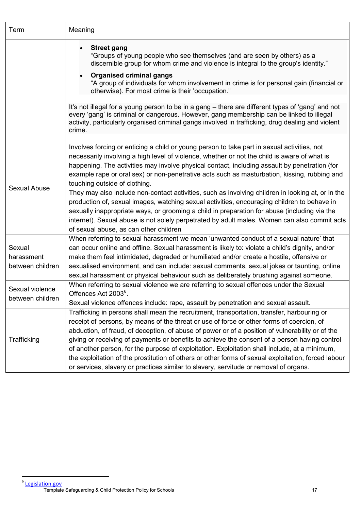| Term                                     | Meaning                                                                                                                                                                                                                                                                                                                                                                                                                                                                                                                                                                                                                                                                                                                                                                                                                                                                     |  |  |
|------------------------------------------|-----------------------------------------------------------------------------------------------------------------------------------------------------------------------------------------------------------------------------------------------------------------------------------------------------------------------------------------------------------------------------------------------------------------------------------------------------------------------------------------------------------------------------------------------------------------------------------------------------------------------------------------------------------------------------------------------------------------------------------------------------------------------------------------------------------------------------------------------------------------------------|--|--|
|                                          | <b>Street gang</b><br>"Groups of young people who see themselves (and are seen by others) as a<br>discernible group for whom crime and violence is integral to the group's identity."<br><b>Organised criminal gangs</b><br>"A group of individuals for whom involvement in crime is for personal gain (financial or<br>otherwise). For most crime is their 'occupation."<br>It's not illegal for a young person to be in a gang – there are different types of 'gang' and not<br>every 'gang' is criminal or dangerous. However, gang membership can be linked to illegal<br>activity, particularly organised criminal gangs involved in trafficking, drug dealing and violent<br>crime.                                                                                                                                                                                   |  |  |
|                                          |                                                                                                                                                                                                                                                                                                                                                                                                                                                                                                                                                                                                                                                                                                                                                                                                                                                                             |  |  |
| Sexual Abuse                             | Involves forcing or enticing a child or young person to take part in sexual activities, not<br>necessarily involving a high level of violence, whether or not the child is aware of what is<br>happening. The activities may involve physical contact, including assault by penetration (for<br>example rape or oral sex) or non-penetrative acts such as masturbation, kissing, rubbing and<br>touching outside of clothing.<br>They may also include non-contact activities, such as involving children in looking at, or in the<br>production of, sexual images, watching sexual activities, encouraging children to behave in<br>sexually inappropriate ways, or grooming a child in preparation for abuse (including via the<br>internet). Sexual abuse is not solely perpetrated by adult males. Women can also commit acts<br>of sexual abuse, as can other children |  |  |
| Sexual<br>harassment<br>between children | When referring to sexual harassment we mean 'unwanted conduct of a sexual nature' that<br>can occur online and offline. Sexual harassment is likely to: violate a child's dignity, and/or<br>make them feel intimidated, degraded or humiliated and/or create a hostile, offensive or<br>sexualised environment, and can include: sexual comments, sexual jokes or taunting, online<br>sexual harassment or physical behaviour such as deliberately brushing against someone.                                                                                                                                                                                                                                                                                                                                                                                               |  |  |
| Sexual violence<br>between children      | When referring to sexual violence we are referring to sexual offences under the Sexual<br>Offences Act 2003 <sup>6</sup> .<br>Sexual violence offences include: rape, assault by penetration and sexual assault.                                                                                                                                                                                                                                                                                                                                                                                                                                                                                                                                                                                                                                                            |  |  |
| Trafficking                              | Trafficking in persons shall mean the recruitment, transportation, transfer, harbouring or<br>receipt of persons, by means of the threat or use of force or other forms of coercion, of<br>abduction, of fraud, of deception, of abuse of power or of a position of vulnerability or of the<br>giving or receiving of payments or benefits to achieve the consent of a person having control<br>of another person, for the purpose of exploitation. Exploitation shall include, at a minimum,<br>the exploitation of the prostitution of others or other forms of sexual exploitation, forced labour<br>or services, slavery or practices similar to slavery, servitude or removal of organs.                                                                                                                                                                               |  |  |

<span id="page-17-0"></span>Template Safeguarding & Child Protection Policy for Schools 17 –<br><sup>6</sup> <u>[Legislation.gov](https://www.legislation.gov.uk/ukpga/2003/42/contents)</u>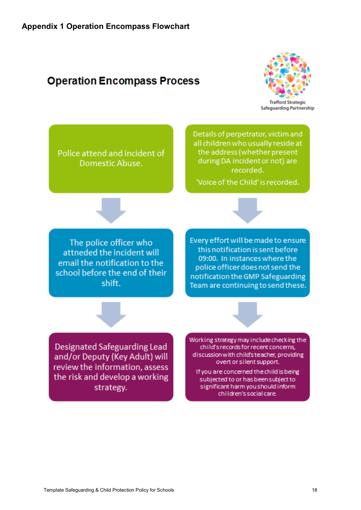## <span id="page-18-0"></span>**Operation Encompass Process**



Police attend and incident of Domestic Abuse.

Details of perpetrator, victim and all children who usually reside at the address (whether present during DA incident or not) are recorded.

'Voice of the Child' is recorded.

The police officer who attneded the incident will email the notification to the school before the end of their shift.

Every effort will be made to ensure this notification is sent before 09:00. In instances where the police officer does not send the notification the GMP Safeguarding Team are continuing to send these.

Designated Safeguarding Lead and/or Deputy (Key Adult) will review the information, assess the risk and develop a working strategy.

Working strategy may include checking the child's records for recent concerns, discussion with child's teacher, providing overt or silent support.

If you are concerned the child is being subjected to or has been subject to significant harm you should inform children's social care.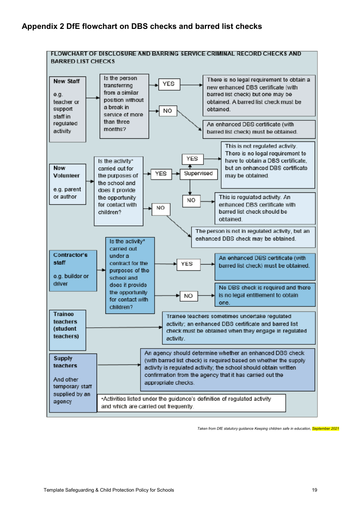<span id="page-19-0"></span>

*Taken from DfE statutory guidance Keeping children safe in education, September 2021*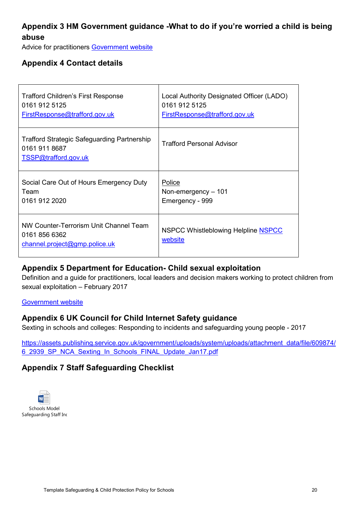### <span id="page-20-0"></span>**Appendix 3 HM Government guidance -What to do if you're worried a child is being abuse**

Advice for practitioners [Government website](https://assets.publishing.service.gov.uk/government/uploads/system/uploads/attachment_data/file/419604/What_to_do_if_you_re_worried_a_child_is_being_abused.pdf)

### <span id="page-20-1"></span>**Appendix 4 Contact details**

| Trafford Children's First Response                                                          | Local Authority Designated Officer (LADO)      |
|---------------------------------------------------------------------------------------------|------------------------------------------------|
| 0161 912 5125                                                                               | 0161 912 5125                                  |
| FirstResponse@trafford.gov.uk                                                               | FirstResponse@trafford.gov.uk                  |
| <b>Trafford Strategic Safeguarding Partnership</b><br>0161 911 8687<br>TSSP@trafford.gov.uk | <b>Trafford Personal Advisor</b>               |
| Social Care Out of Hours Emergency Duty                                                     | Police                                         |
| Team                                                                                        | Non-emergency $-101$                           |
| 0161 912 2020                                                                               | Emergency - 999                                |
| NW Counter-Terrorism Unit Channel Team<br>0161 856 6362<br>channel.project@gmp.police.uk    | NSPCC Whistleblowing Helpline NSPCC<br>website |

### <span id="page-20-2"></span>**Appendix 5 Department for Education- Child sexual exploitation**

Definition and a guide for practitioners, local leaders and decision makers working to protect children from sexual exploitation – February 2017

#### [Government website](https://assets.publishing.service.gov.uk/government/uploads/system/uploads/attachment_data/file/591903/CSE_Guidance_Core_Document_13.02.2017.pdf)

### <span id="page-20-3"></span>**Appendix 6 UK Council for Child Internet Safety guidance**

Sexting in schools and colleges: Responding to incidents and safeguarding young people - 2017

[https://assets.publishing.service.gov.uk/government/uploads/system/uploads/attachment\\_data/file/609874/](https://assets.publishing.service.gov.uk/government/uploads/system/uploads/attachment_data/file/609874/6_2939_SP_NCA_Sexting_In_Schools_FINAL_Update_Jan17.pdf) [6\\_2939\\_SP\\_NCA\\_Sexting\\_In\\_Schools\\_FINAL\\_Update\\_Jan17.pdf](https://assets.publishing.service.gov.uk/government/uploads/system/uploads/attachment_data/file/609874/6_2939_SP_NCA_Sexting_In_Schools_FINAL_Update_Jan17.pdf) 

### <span id="page-20-4"></span>**Appendix 7 Staff Safeguarding Checklist**

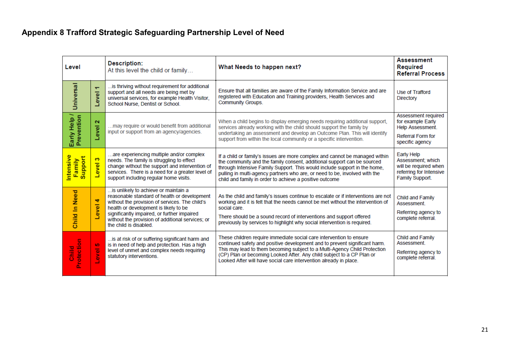## **Appendix 8 Trafford Strategic Safeguarding Partnership Level of Need**

<span id="page-21-0"></span>

| Level                          |                 | <b>Description:</b><br>At this level the child or family                                                                                                                                                                                                                                                     | What Needs to happen next?                                                                                                                                                                                                                                                                                                                                                   | <b>Assessment</b><br><b>Required</b><br><b>Referral Process</b>                                             |
|--------------------------------|-----------------|--------------------------------------------------------------------------------------------------------------------------------------------------------------------------------------------------------------------------------------------------------------------------------------------------------------|------------------------------------------------------------------------------------------------------------------------------------------------------------------------------------------------------------------------------------------------------------------------------------------------------------------------------------------------------------------------------|-------------------------------------------------------------------------------------------------------------|
| <b>Universal</b>               | ٠<br>Level      | is thriving without requirement for additional<br>support and all needs are being met by<br>universal services, for example Health Visitor,<br>School Nurse, Dentist or School.                                                                                                                              | Ensure that all families are aware of the Family Information Service and are<br>registered with Education and Training providers, Health Services and<br>Community Groups.                                                                                                                                                                                                   | Use of Trafford<br>Directory                                                                                |
| Early Help /<br>Prevention     | $\sim$<br>Level | may require or would benefit from additional<br>input or support from an agency/agencies.                                                                                                                                                                                                                    | When a child begins to display emerging needs requiring additional support,<br>services already working with the child should support the family by<br>undertaking an assessment and develop an Outcome Plan. This will identify<br>support from within the local community or a specific intervention.                                                                      | Assessment required<br>for example Early<br>Help Assessment.<br><b>Referral Form for</b><br>specific agency |
| Intensive<br>Support<br>Family | S<br>Level      | are experiencing multiple and/or complex<br>needs. The family is struggling to effect<br>change without the support and intervention of<br>services. There is a need for a greater level of<br>support including regular home visits.                                                                        | If a child or family's issues are more complex and cannot be managed within<br>the community and the family consent, additional support can be sourced<br>through Intensive Family Support. This would include support in the home,<br>pulling in multi-agency partners who are, or need to be, involved with the<br>child and family in order to achieve a positive outcome | Early Help<br>Assessment: which<br>will be required when<br>referring for Intensive<br>Family Support.      |
| Child In Need                  | 4<br>evel       | is unlikely to achieve or maintain a<br>reasonable standard of health or development<br>without the provision of services. The child's<br>health or development is likely to be<br>significantly impaired, or further impaired<br>without the provision of additional services; or<br>the child is disabled. | As the child and family's issues continue to escalate or if interventions are not<br>working and it is felt that the needs cannot be met without the intervention of<br>social care.<br>There should be a sound record of interventions and support offered<br>previously by services to highlight why social intervention is required.                                      | Child and Family<br>Assessment.<br>Referring agency to<br>complete referral.                                |
| Protection<br>Dalia<br>Child   | LO.<br>evel     | is at risk of or suffering significant harm and<br>is in need of help and protection. Has a high<br>level of unmet and complex needs requiring<br>statutory interventions.                                                                                                                                   | These children require immediate social care intervention to ensure<br>continued safety and positive development and to prevent significant harm.<br>This may lead to them becoming subject to a Multi-Agency Child Protection<br>(CP) Plan or becoming Looked After. Any child subject to a CP Plan or<br>Looked After will have social care intervention already in place. | Child and Family<br>Assessment.<br>Referring agency to<br>complete referral.                                |